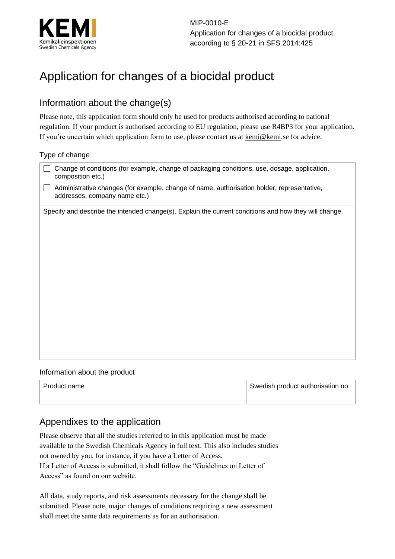

MIP-0010-E Application for changes of a biocidal product according to § 20-21 in SFS 2014:425

# Application for changes of a biocidal product

### Information about the change(s)

Please note, this application form should only be used for products authorised according to national regulation. If your product is authorised according to EU regulation, please use R4BP3 for your application. If you're uncertain which application form to use, please contact us at kemi@kemi.se for advice.

#### Type of change

| Change of conditions (for example, change of packaging conditions, use, dosage, application,<br>composition etc.)           |  |  |
|-----------------------------------------------------------------------------------------------------------------------------|--|--|
| Administrative changes (for example, change of name, authorisation holder, representative,<br>addresses, company name etc.) |  |  |
| Specify and describe the intended change(s). Explain the current conditions and how they will change.                       |  |  |
|                                                                                                                             |  |  |
|                                                                                                                             |  |  |
|                                                                                                                             |  |  |
|                                                                                                                             |  |  |
|                                                                                                                             |  |  |
|                                                                                                                             |  |  |
|                                                                                                                             |  |  |
|                                                                                                                             |  |  |
|                                                                                                                             |  |  |

#### Information about the product

| Product name | Swedish product authorisation no. |
|--------------|-----------------------------------|
|              |                                   |

## Appendixes to the application

Please observe that all the studies referred to in this application must be made available to the Swedish Chemicals Agency in full text. This also includes studies not owned by you, for instance, if you have a Letter of Access. If a Letter of Access is submitted, it shall follow the "Guidelines on Letter of Access" as found on our website.

All data, study reports, and risk assessments necessary for the change shall be submitted. Please note, major changes of conditions requiring a new assessment shall meet the same data requirements as for an authorisation.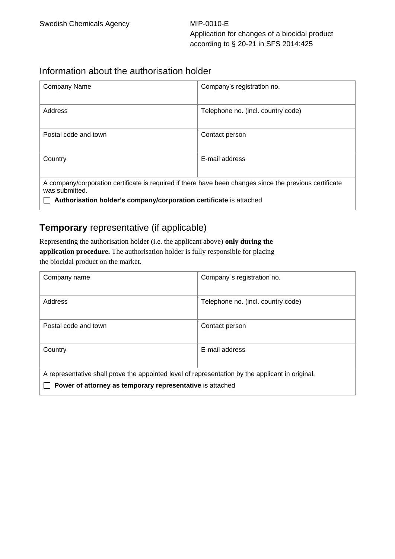#### Information about the authorisation holder

| <b>Company Name</b>                                                                                                       | Company's registration no.         |  |
|---------------------------------------------------------------------------------------------------------------------------|------------------------------------|--|
| Address                                                                                                                   | Telephone no. (incl. country code) |  |
| Postal code and town                                                                                                      | Contact person                     |  |
| Country                                                                                                                   | E-mail address                     |  |
| A company/corporation certificate is required if there have been changes since the previous certificate<br>was submitted. |                                    |  |
| Authorisation holder's company/corporation certificate is attached                                                        |                                    |  |

#### **Temporary** representative (if applicable)

Representing the authorisation holder (i.e. the applicant above) **only during the application procedure.** The authorisation holder is fully responsible for placing the biocidal product on the market.

| Company name                                                                                     | Company's registration no.         |  |
|--------------------------------------------------------------------------------------------------|------------------------------------|--|
| Address                                                                                          | Telephone no. (incl. country code) |  |
| Postal code and town                                                                             | Contact person                     |  |
| Country                                                                                          | E-mail address                     |  |
| A representative shall prove the appointed level of representation by the applicant in original. |                                    |  |
| Power of attorney as temporary representative is attached                                        |                                    |  |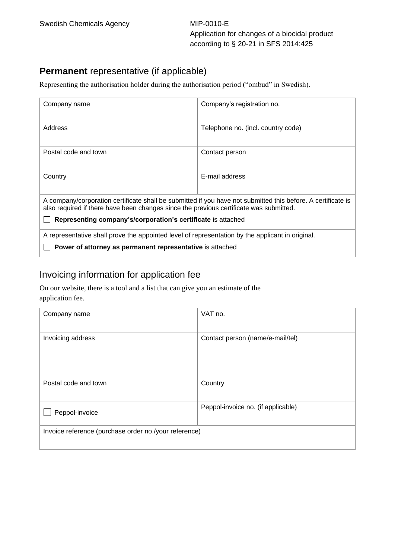### **Permanent** representative (if applicable)

Representing the authorisation holder during the authorisation period ("ombud" in Swedish).

| Company name                                                                                                                                                                                           | Company's registration no.         |  |  |
|--------------------------------------------------------------------------------------------------------------------------------------------------------------------------------------------------------|------------------------------------|--|--|
| Address                                                                                                                                                                                                | Telephone no. (incl. country code) |  |  |
| Postal code and town                                                                                                                                                                                   | Contact person                     |  |  |
| Country                                                                                                                                                                                                | E-mail address                     |  |  |
| A company/corporation certificate shall be submitted if you have not submitted this before. A certificate is<br>also required if there have been changes since the previous certificate was submitted. |                                    |  |  |
| Representing company's/corporation's certificate is attached                                                                                                                                           |                                    |  |  |
| A representative shall prove the appointed level of representation by the applicant in original.                                                                                                       |                                    |  |  |
| Power of attorney as permanent representative is attached                                                                                                                                              |                                    |  |  |

# Invoicing information for application fee

On our website, there is a tool and a list that can give you an estimate of the application fee.

| Company name                                          | VAT no.                            |  |
|-------------------------------------------------------|------------------------------------|--|
| Invoicing address                                     | Contact person (name/e-mail/tel)   |  |
| Postal code and town                                  | Country                            |  |
| Peppol-invoice                                        | Peppol-invoice no. (if applicable) |  |
| Invoice reference (purchase order no./your reference) |                                    |  |